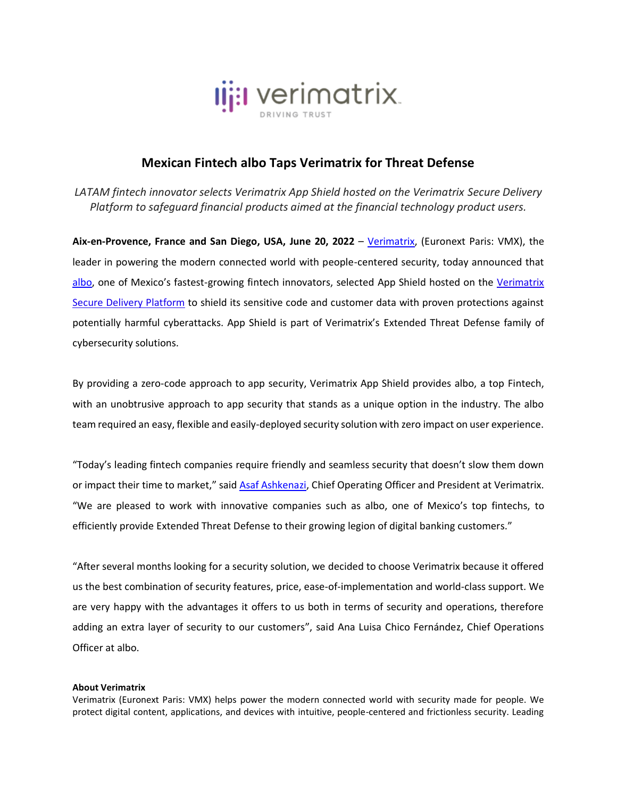

## **Mexican Fintech albo Taps Verimatrix for Threat Defense**

*LATAM fintech innovator selects Verimatrix App Shield hosted on the Verimatrix Secure Delivery Platform to safeguard financial products aimed at the financial technology product users.*

**Aix-en-Provence, France and San Diego, USA, June 20, 2022** – [Verimatrix,](http://www.verimatrix.com/) (Euronext Paris: VMX), the leader in powering the modern connected world with people-centered security, today announced that [albo](https://www.albo.mx/), one of Mexico's fastest-growing fintech innovators, selected [App Shield](https://www.verimatrix.com/products/app-shield/) hosted on the [Verimatrix](https://www.verimatrix.com/platform/)  [Secure Delivery Platform](https://www.verimatrix.com/platform/) to shield its sensitive code and customer data with proven protections against potentially harmful cyberattacks. App Shield is part of Verimatrix's Extended Threat Defense family of cybersecurity solutions.

By providing a zero-code approach to app security, Verimatrix App Shield provides albo, a top Fintech, with an unobtrusive approach to app security that stands as a unique option in the industry. The albo team required an easy, flexible and easily-deployed security solution with zero impact on user experience.

"Today's leading fintech companies require friendly and seamless security that doesn't slow them down or impact their time to market," said [Asaf Ashkenazi,](https://www.linkedin.com/in/asafashkenazi/) Chief Operating Officer and President at Verimatrix. "We are pleased to work with innovative companies such as albo, one of Mexico's top fintechs, to efficiently provide Extended Threat Defense to their growing legion of digital banking customers."

"After several months looking for a security solution, we decided to choose Verimatrix because it offered us the best combination of security features, price, ease-of-implementation and world-class support. We are very happy with the advantages it offers to us both in terms of security and operations, therefore adding an extra layer of security to our customers", said Ana Luisa Chico Fernández, Chief Operations Officer at albo.

## **About Verimatrix**

Verimatrix (Euronext Paris: VMX) helps power the modern connected world with security made for people. We protect digital content, applications, and devices with intuitive, people-centered and frictionless security. Leading